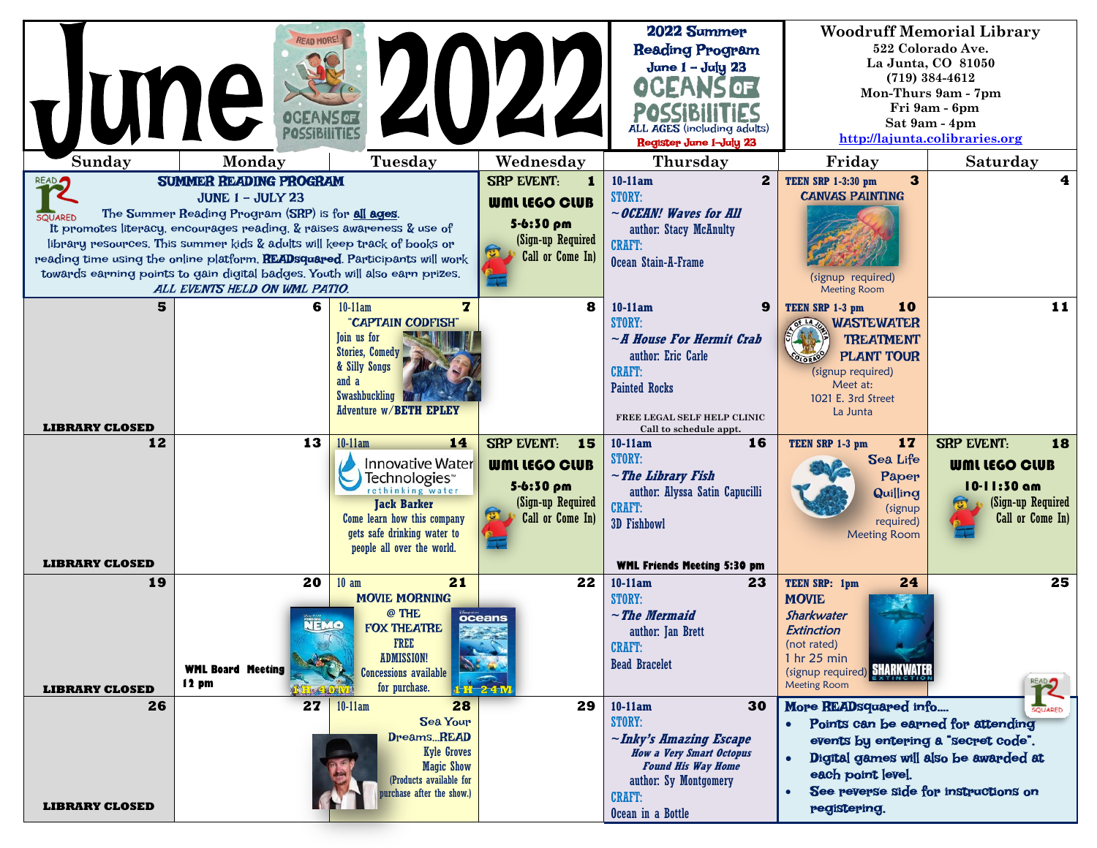| June<br>Sunday<br><b>READ</b><br><b>SQUARED</b> | <b>READ MORE!</b><br>Monday<br><b>SUMMER READING PROGRAM</b><br><b>JUNE 1 - JULY 23</b><br>The Summer Reading Program (SRP) is for all ages.<br>It promotes literacy, encourages reading, & raises awareness & use of<br>library resources. This summer kids & adults will keep track of books or<br>reading time using the online platform. READsquared. Participants will work | Tuesday                                                                                                                                                                                                       | XV22<br>Wednesday<br><b>SRP EVENT:</b><br>1<br><b>WML LEGO CLUB</b><br>5-6:30 pm<br>(Sign-up Required<br>Call or Come In) | 2022 Summer<br><b>Reading Program</b><br>June $1 -$ July 23<br>ALL AGES (including adults)<br>Register June 1-July 23<br>Thursday<br>$\mathbf{2}$<br>$10-11am$<br><b>STORY:</b><br>$\sim$ OCEAN! Waves for All<br>author: Stacy McAnulty<br><b>CRAFT:</b><br>Ocean Stain-A-Frame | Friday<br>$\mathbf{3}$<br><b>TEEN SRP 1-3:30 pm</b><br><b>CANVAS PAINTING</b>                                                                                                                                                           | <b>Woodruff Memorial Library</b><br>522 Colorado Ave.<br>La Junta, CO 81050<br>$(719)$ 384-4612<br>Mon-Thurs 9am - 7pm<br>Fri 9am - 6pm<br>Sat 9am - 4pm<br>http://lajunta.colibraries.org<br>Saturday<br>4 |
|-------------------------------------------------|----------------------------------------------------------------------------------------------------------------------------------------------------------------------------------------------------------------------------------------------------------------------------------------------------------------------------------------------------------------------------------|---------------------------------------------------------------------------------------------------------------------------------------------------------------------------------------------------------------|---------------------------------------------------------------------------------------------------------------------------|----------------------------------------------------------------------------------------------------------------------------------------------------------------------------------------------------------------------------------------------------------------------------------|-----------------------------------------------------------------------------------------------------------------------------------------------------------------------------------------------------------------------------------------|-------------------------------------------------------------------------------------------------------------------------------------------------------------------------------------------------------------|
|                                                 | towards earning points to gain digital badges. Youth will also earn prizes.<br>ALL EVENTS HELD ON WML PATIO.                                                                                                                                                                                                                                                                     |                                                                                                                                                                                                               |                                                                                                                           |                                                                                                                                                                                                                                                                                  | (signup required)<br><b>Meeting Room</b>                                                                                                                                                                                                |                                                                                                                                                                                                             |
| 5<br><b>LIBRARY CLOSED</b>                      | 6                                                                                                                                                                                                                                                                                                                                                                                | $\mathbf{z}$<br>$10-11am$<br>"CAPTAIN CODFISH"<br>Toin us for<br><b>Stories, Comedy</b><br>& Silly Songs<br>and a<br>Swashbuckling<br><b>Adventure w/BETH EPLEY</b>                                           | 8                                                                                                                         | 9<br>10-11am<br><b>STORY:</b><br>$\neg$ <i>A House For Hermit Crab</i><br>author: Eric Carle<br><b>CRAFT:</b><br><b>Painted Rocks</b><br>FREE LEGAL SELF HELP CLINIC<br>Call to schedule appt.                                                                                   | 10<br>TEEN SRP 1-3 pm<br><b>OF LARGE WASTEWATER</b><br><b>TREATMENT</b><br><b>PLANT TOUR</b><br>(signup required)<br>Meet at:<br>1021 E. 3rd Street<br>La Junta                                                                         | 11                                                                                                                                                                                                          |
| 12<br><b>LIBRARY CLOSED</b>                     | 13                                                                                                                                                                                                                                                                                                                                                                               | 14<br>$10-11am$<br><b>Innovative Water</b><br>Technologies <sup>®</sup><br>rethinking water<br><b>Jack Barker</b><br>Come learn how this company<br>gets safe drinking water to<br>people all over the world. | SRP EVENT: 15<br><b>WML LEGO CLUB</b><br>5-6:30 pm<br>(Sign-up Required<br>Call or Come In)                               | $10-11am$<br>16<br><b>STORY:</b><br>$\sim$ The Library Fish<br>author: Alyssa Satin Capucilli<br><b>CRAFT:</b><br><b>3D Fishbowl</b><br><b>WML Friends Meeting 5:30 pm</b>                                                                                                       | 17<br>TEEN SRP 1-3 pm<br>Sea Life<br>Paper<br><b>Quilling</b><br>(signup<br>required)<br><b>Meeting Room</b>                                                                                                                            | <b>SRP EVENT:</b><br>18<br><b>WML LEGO CLUB</b><br>10-11:30 am<br>(Sign-up Required<br>Call or Come In)                                                                                                     |
| 19<br><b>LIBRARY CLOSED</b>                     | 20<br>NEMO<br><b>WML Board Meeting</b><br>$12 \text{ pm}$                                                                                                                                                                                                                                                                                                                        | 21<br>$10$ am<br><b>MOVIE MORNING</b><br>@ THE<br><b>FOX THEATRE</b><br><b>FREE</b><br><b>ADMISSION!</b><br><b>Concessions available</b><br>for purchase.                                                     | 22<br>oceans<br>$1 + 241$                                                                                                 | $10-11am$<br>23<br><b>STORY:</b><br>$\sim$ The Mermaid<br>author: Jan Brett<br><b>CRAFT:</b><br><b>Bead Bracelet</b>                                                                                                                                                             | 24<br>TEEN SRP: 1pm<br><b>MOVIE</b><br>Sharkwater<br>Extinction<br>(not rated)<br>1 hr 25 min<br>(signup required) SHARKWATER<br><b>Meeting Room</b>                                                                                    | 25<br><b>PEAD</b>                                                                                                                                                                                           |
| 26<br><b>LIBRARY CLOSED</b>                     | 27                                                                                                                                                                                                                                                                                                                                                                               | 28<br>$10-11am$<br><b>Sea Your</b><br>DreamsREAD<br><b>Kyle Groves</b><br><b>Magic Show</b><br>(Products available for<br>urchase after the show.)                                                            | 29                                                                                                                        | $10-11am$<br>30<br><b>STORY:</b><br>$\sim$ Inky's Amazing Escape<br><b>How a Very Smart Octopus</b><br><b>Found His Way Home</b><br>author: Sy Montgomery<br><b>CRAFT:</b><br>Ocean in a Bottle                                                                                  | More READsquared info<br>• Points can be earned for attending<br>events by entering a "secret code".<br>Digital games will also be awarded at<br>$\bullet$<br>each point level.<br>See pevepse side for instructions on<br>registering. | <b>SQUARED</b>                                                                                                                                                                                              |